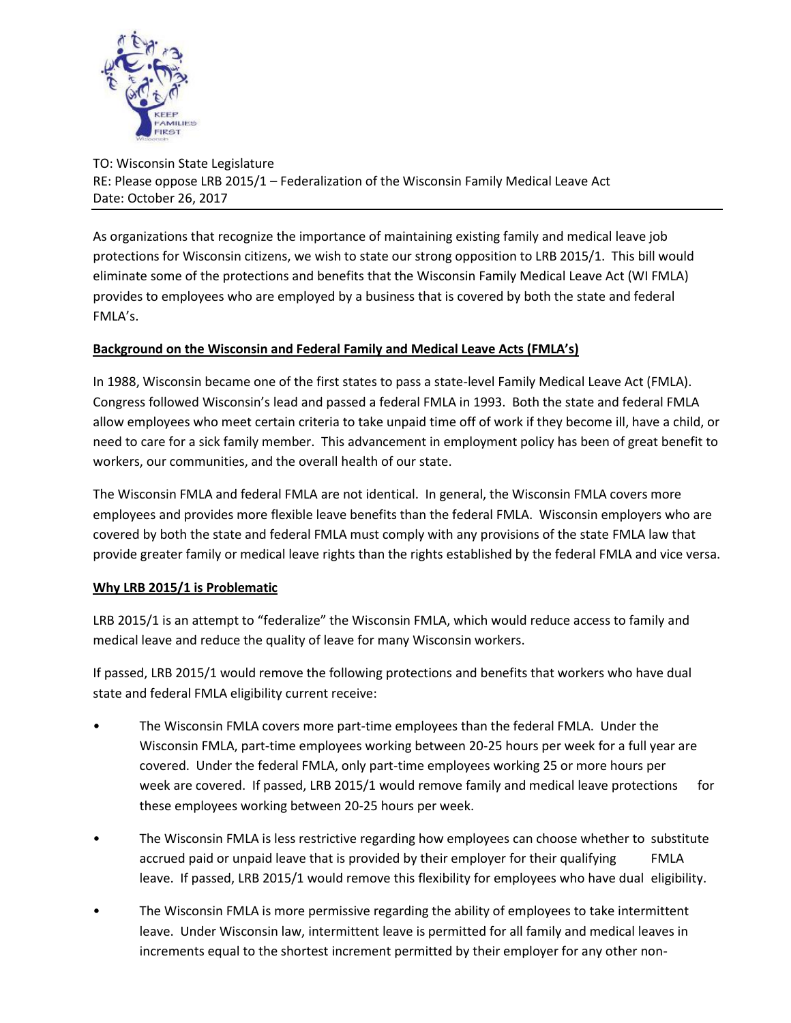

TO: Wisconsin State Legislature RE: Please oppose LRB 2015/1 – Federalization of the Wisconsin Family Medical Leave Act Date: October 26, 2017

As organizations that recognize the importance of maintaining existing family and medical leave job protections for Wisconsin citizens, we wish to state our strong opposition to LRB 2015/1. This bill would eliminate some of the protections and benefits that the Wisconsin Family Medical Leave Act (WI FMLA) provides to employees who are employed by a business that is covered by both the state and federal FMLA's.

## **Background on the Wisconsin and Federal Family and Medical Leave Acts (FMLA's)**

In 1988, Wisconsin became one of the first states to pass a state-level Family Medical Leave Act (FMLA). Congress followed Wisconsin's lead and passed a federal FMLA in 1993. Both the state and federal FMLA allow employees who meet certain criteria to take unpaid time off of work if they become ill, have a child, or need to care for a sick family member. This advancement in employment policy has been of great benefit to workers, our communities, and the overall health of our state.

The Wisconsin FMLA and federal FMLA are not identical. In general, the Wisconsin FMLA covers more employees and provides more flexible leave benefits than the federal FMLA. Wisconsin employers who are covered by both the state and federal FMLA must comply with any provisions of the state FMLA law that provide greater family or medical leave rights than the rights established by the federal FMLA and vice versa.

## **Why LRB 2015/1 is Problematic**

LRB 2015/1 is an attempt to "federalize" the Wisconsin FMLA, which would reduce access to family and medical leave and reduce the quality of leave for many Wisconsin workers.

If passed, LRB 2015/1 would remove the following protections and benefits that workers who have dual state and federal FMLA eligibility current receive:

- The Wisconsin FMLA covers more part-time employees than the federal FMLA. Under the Wisconsin FMLA, part-time employees working between 20-25 hours per week for a full year are covered. Under the federal FMLA, only part-time employees working 25 or more hours per week are covered. If passed, LRB 2015/1 would remove family and medical leave protections for these employees working between 20-25 hours per week.
- The Wisconsin FMLA is less restrictive regarding how employees can choose whether to substitute accrued paid or unpaid leave that is provided by their employer for their qualifying FMLA leave. If passed, LRB 2015/1 would remove this flexibility for employees who have dual eligibility.
- The Wisconsin FMLA is more permissive regarding the ability of employees to take intermittent leave. Under Wisconsin law, intermittent leave is permitted for all family and medical leaves in increments equal to the shortest increment permitted by their employer for any other non-